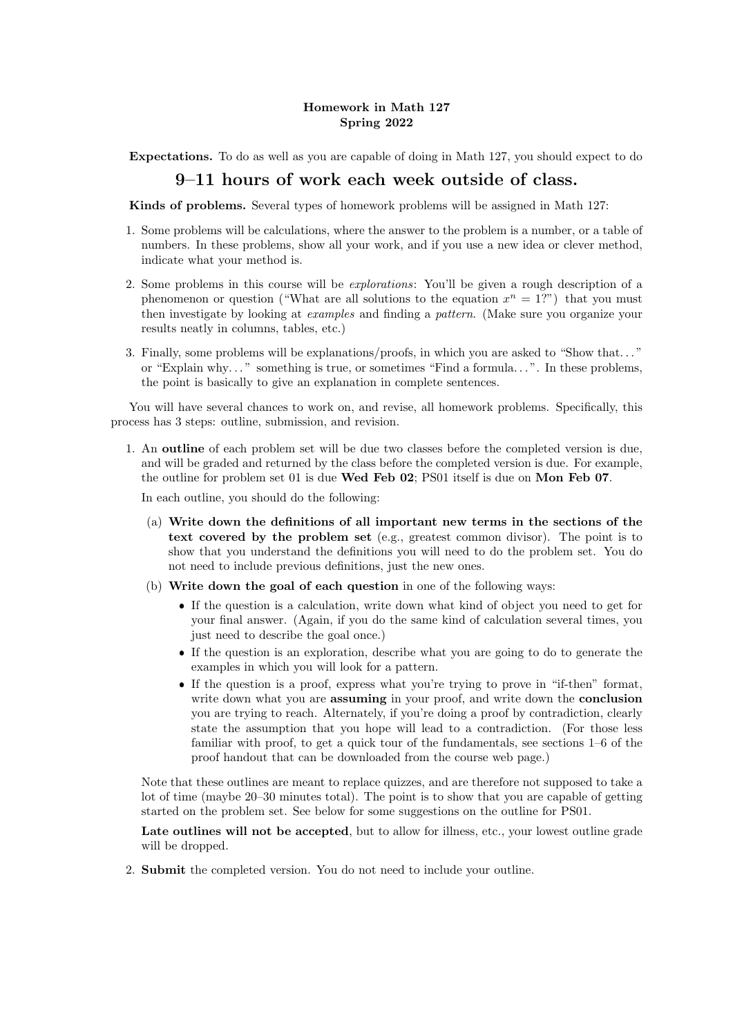## Homework in Math 127 Spring 2022

Expectations. To do as well as you are capable of doing in Math 127, you should expect to do

## 9–11 hours of work each week outside of class.

Kinds of problems. Several types of homework problems will be assigned in Math 127:

- 1. Some problems will be calculations, where the answer to the problem is a number, or a table of numbers. In these problems, show all your work, and if you use a new idea or clever method, indicate what your method is.
- 2. Some problems in this course will be explorations: You'll be given a rough description of a phenomenon or question ("What are all solutions to the equation  $x^n = 1$ .") that you must then investigate by looking at examples and finding a pattern. (Make sure you organize your results neatly in columns, tables, etc.)
- 3. Finally, some problems will be explanations/proofs, in which you are asked to "Show that. . . " or "Explain why. . . " something is true, or sometimes "Find a formula. . . ". In these problems, the point is basically to give an explanation in complete sentences.

You will have several chances to work on, and revise, all homework problems. Specifically, this process has 3 steps: outline, submission, and revision.

1. An outline of each problem set will be due two classes before the completed version is due, and will be graded and returned by the class before the completed version is due. For example, the outline for problem set 01 is due Wed Feb 02; PS01 itself is due on Mon Feb 07.

In each outline, you should do the following:

- (a) Write down the definitions of all important new terms in the sections of the text covered by the problem set (e.g., greatest common divisor). The point is to show that you understand the definitions you will need to do the problem set. You do not need to include previous definitions, just the new ones.
- (b) Write down the goal of each question in one of the following ways:
	- If the question is a calculation, write down what kind of object you need to get for your final answer. (Again, if you do the same kind of calculation several times, you just need to describe the goal once.)
	- If the question is an exploration, describe what you are going to do to generate the examples in which you will look for a pattern.
	- If the question is a proof, express what you're trying to prove in "if-then" format, write down what you are **assuming** in your proof, and write down the **conclusion** you are trying to reach. Alternately, if you're doing a proof by contradiction, clearly state the assumption that you hope will lead to a contradiction. (For those less familiar with proof, to get a quick tour of the fundamentals, see sections 1–6 of the proof handout that can be downloaded from the course web page.)

Note that these outlines are meant to replace quizzes, and are therefore not supposed to take a lot of time (maybe 20–30 minutes total). The point is to show that you are capable of getting started on the problem set. See below for some suggestions on the outline for PS01.

Late outlines will not be accepted, but to allow for illness, etc., your lowest outline grade will be dropped.

2. Submit the completed version. You do not need to include your outline.